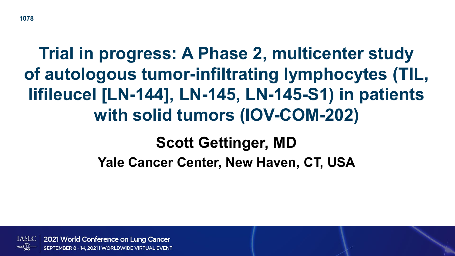## **Trial in progress: A Phase 2, multicenter study of autologous tumor-infiltrating lymphocytes (TIL, lifileucel [LN-144], LN-145, LN-145-S1) in patients with solid tumors (IOV-COM-202)**

#### **Scott Gettinger, MD**

**Yale Cancer Center, New Haven, CT, USA**

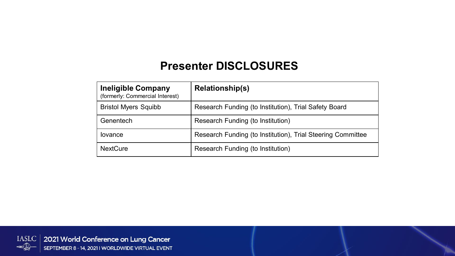#### **Presenter DISCLOSURES**

| <b>Ineligible Company</b><br>(formerly: Commercial Interest) | <b>Relationship(s)</b>                                      |
|--------------------------------------------------------------|-------------------------------------------------------------|
| <b>Bristol Myers Squibb</b>                                  | Research Funding (to Institution), Trial Safety Board       |
| Genentech                                                    | Research Funding (to Institution)                           |
| lovance                                                      | Research Funding (to Institution), Trial Steering Committee |
| <b>NextCure</b>                                              | Research Funding (to Institution)                           |

IASLC | 2021 World Conference on Lung Cancer  $\leftarrow$ SEPTEMBER 8 - 14, 2021 I WORLDWIDE VIRTUAL EVENT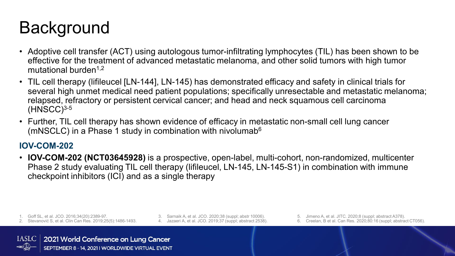## **Background**

- Adoptive cell transfer (ACT) using autologous tumor-infiltrating lymphocytes (TIL) has been shown to be effective for the treatment of advanced metastatic melanoma, and other solid tumors with high tumor mutational burden<sup>1,2</sup>
- TIL cell therapy (lifileucel [LN-144], LN-145) has demonstrated efficacy and safety in clinical trials for several high unmet medical need patient populations; specifically unresectable and metastatic melanoma; relapsed, refractory or persistent cervical cancer; and head and neck squamous cell carcinoma  $(HNSCC)^{3-5}$
- Further, TIL cell therapy has shown evidence of efficacy in metastatic non-small cell lung cancer (mNSCLC) in a Phase 1 study in combination with nivolumab $6$

#### **IOV-COM-202**

• **IOV-COM-202 (NCT03645928)** is a prospective, open-label, multi-cohort, non-randomized, multicenter Phase 2 study evaluating TIL cell therapy (lifileucel, LN-145, LN-145-S1) in combination with immune checkpoint inhibitors (ICI) and as a single therapy

1. Goff SL, et al. JCO. 2016;34(20):2389-97.

- 2. Stevanović S, et al. Clin Can Res. 2019;25(5):1486-1493.
- 3. Sarnaik A, et al. JCO. 2020;38 (suppl; abstr 10006). 4. Jazaeri A, et al. JCO. 2019;37 (suppl; abstract 2538).
- 5. Jimeno A, et al. JITC. 2020;8 (suppl; abstract A378).
- 6. Creelan, B et al. Can Res. 2020;80:16 (suppl; abstract CT056).

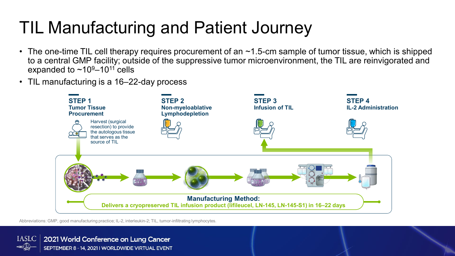## TIL Manufacturing and Patient Journey

- The one-time TIL cell therapy requires procurement of an  $\sim$ 1.5-cm sample of tumor tissue, which is shipped to a central GMP facility; outside of the suppressive tumor microenvironment, the TIL are reinvigorated and expanded to  $\sim$ 10<sup>9</sup>–10<sup>11</sup> cells
- TIL manufacturing is a 16–22-day process



Abbreviations: GMP, good manufacturing practice; IL-2, interleukin-2; TIL, tumor-infiltrating lymphocytes.

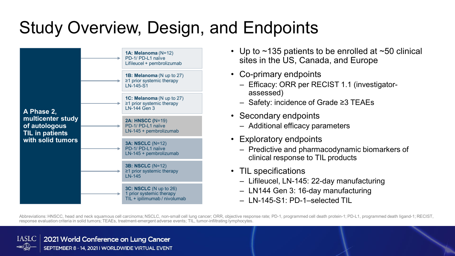# Study Overview, Design, and Endpoints



- Up to  $\sim$ 135 patients to be enrolled at  $\sim$ 50 clinical sites in the US, Canada, and Europe
- Co-primary endpoints
	- Efficacy: ORR per RECIST 1.1 (investigatorassessed)
	- Safety: incidence of Grade ≥3 TEAEs
- Secondary endpoints
	- Additional efficacy parameters
- Exploratory endpoints
	- Predictive and pharmacodynamic biomarkers of clinical response to TIL products
- TIL specifications
	- Lifileucel, LN-145: 22-day manufacturing
	- LN144 Gen 3: 16-day manufacturing
	- LN-145-S1: PD-1–selected TIL

Abbreviations: HNSCC, head and neck squamous cell carcinoma; NSCLC, non-small cell lung cancer; ORR, objective response rate; PD-1, programmed cell death protein-1; PD-L1, programmed death ligand-1; RECIST, response evaluation criteria in solid tumors; TEAEs, treatment-emergent adverse events; TIL, tumor-infiltrating lymphocytes.

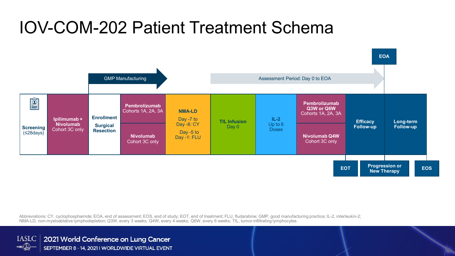### IOV-COM-202 Patient Treatment Schema



Abbreviations: CY, cyclophosphamide; EOA, end of assessment; EOS, end of study; EOT, end of treatment; FLU, fludarabine; GMP, good manufacturing practice; IL-2, interleukin-2; NMA-LD, non-myeloablative lymphodepletion; Q3W, every 3 weeks; Q4W, every 4 weeks; Q6W, every 6 weeks; TIL, tumor-infiltrating lymphocytes.